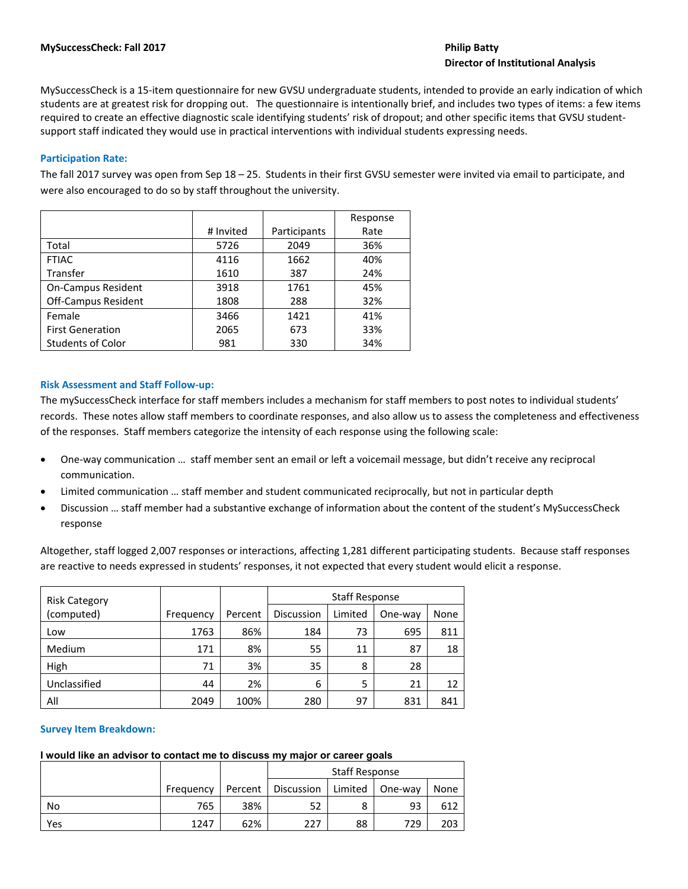# **Director of Institutional Analysis**

MySuccessCheck is a 15‐item questionnaire for new GVSU undergraduate students, intended to provide an early indication of which students are at greatest risk for dropping out. The questionnaire is intentionally brief, and includes two types of items: a few items required to create an effective diagnostic scale identifying students' risk of dropout; and other specific items that GVSU student‐ support staff indicated they would use in practical interventions with individual students expressing needs.

# **Participation Rate:**

The fall 2017 survey was open from Sep 18 – 25. Students in their first GVSU semester were invited via email to participate, and were also encouraged to do so by staff throughout the university.

|                            |           |              | Response |
|----------------------------|-----------|--------------|----------|
|                            | # Invited | Participants | Rate     |
| Total                      | 5726      | 2049         | 36%      |
| <b>FTIAC</b>               | 4116      | 1662         | 40%      |
| Transfer                   | 1610      | 387          | 24%      |
| <b>On-Campus Resident</b>  | 3918      | 1761         | 45%      |
| <b>Off-Campus Resident</b> | 1808      | 288          | 32%      |
| Female                     | 3466      | 1421         | 41%      |
| <b>First Generation</b>    | 2065      | 673          | 33%      |
| <b>Students of Color</b>   | 981       | 330          | 34%      |

### **Risk Assessment and Staff Follow‐up:**

The mySuccessCheck interface for staff members includes a mechanism for staff members to post notes to individual students' records. These notes allow staff members to coordinate responses, and also allow us to assess the completeness and effectiveness of the responses. Staff members categorize the intensity of each response using the following scale:

- One‐way communication … staff member sent an email or left a voicemail message, but didn't receive any reciprocal communication.
- Limited communication … staff member and student communicated reciprocally, but not in particular depth
- Discussion … staff member had a substantive exchange of information about the content of the student's MySuccessCheck response

Altogether, staff logged 2,007 responses or interactions, affecting 1,281 different participating students. Because staff responses are reactive to needs expressed in students' responses, it not expected that every student would elicit a response.

| <b>Staff Response</b><br><b>Risk Category</b> |           |         |                   |         |         |      |
|-----------------------------------------------|-----------|---------|-------------------|---------|---------|------|
| (computed)                                    | Frequency | Percent | <b>Discussion</b> | Limited | One-way | None |
| Low                                           | 1763      | 86%     | 184               | 73      | 695     | 811  |
| Medium                                        | 171       | 8%      | 55                | 11      | 87      | 18   |
| High                                          | 71        | 3%      | 35                | 8       | 28      |      |
| Unclassified                                  | 44        | 2%      | 6                 |         | 21      | 12   |
| All                                           | 2049      | 100%    | 280               | 97      | 831     | 841  |

# **Survey Item Breakdown:**

# **I would like an advisor to contact me to discuss my major or career goals**

|     |           |         | <b>Staff Response</b> |         |         |      |
|-----|-----------|---------|-----------------------|---------|---------|------|
|     | Frequency | Percent | Discussion            | Limited | One-way | None |
| No  | 765       | 38%     | 52                    |         | 93      | 612  |
| Yes | 1247      | 62%     | 227                   | 88      | 729     | 203  |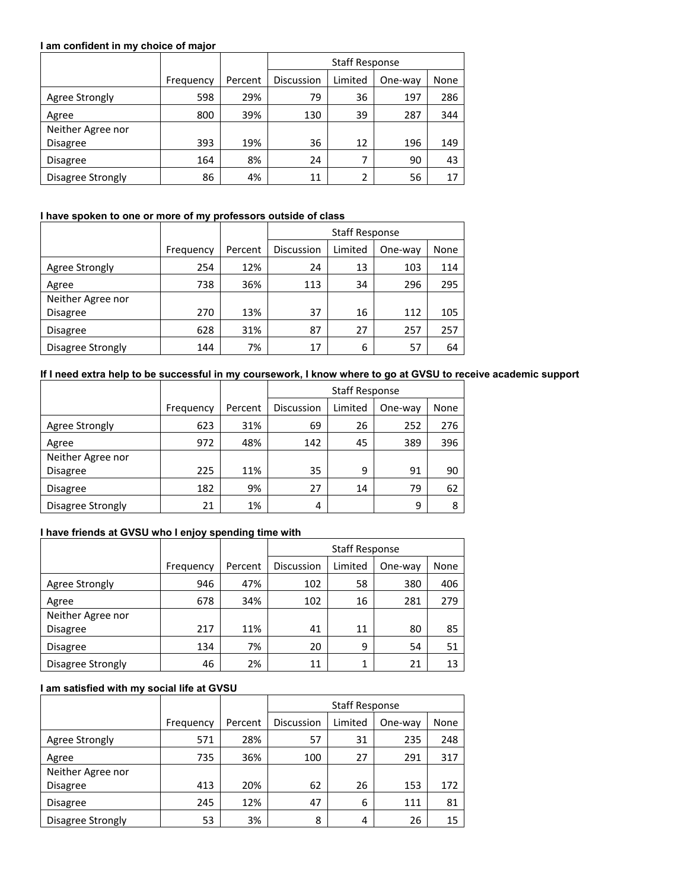#### **I am confident in my choice of major**

|                   |           |         | <b>Staff Response</b> |         |         |      |  |
|-------------------|-----------|---------|-----------------------|---------|---------|------|--|
|                   | Frequency | Percent | <b>Discussion</b>     | Limited | One-way | None |  |
| Agree Strongly    | 598       | 29%     | 79                    | 36      | 197     | 286  |  |
| Agree             | 800       | 39%     | 130                   | 39      | 287     | 344  |  |
| Neither Agree nor |           |         |                       |         |         |      |  |
| Disagree          | 393       | 19%     | 36                    | 12      | 196     | 149  |  |
| Disagree          | 164       | 8%      | 24                    |         | 90      | 43   |  |
| Disagree Strongly | 86        | 4%      | 11                    | ำ       | 56      | 17   |  |

# **I have spoken to one or more of my professors outside of class**

|                   |           |         | <b>Staff Response</b> |         |         |      |
|-------------------|-----------|---------|-----------------------|---------|---------|------|
|                   | Frequency | Percent | <b>Discussion</b>     | Limited | One-way | None |
| Agree Strongly    | 254       | 12%     | 24                    | 13      | 103     | 114  |
| Agree             | 738       | 36%     | 113                   | 34      | 296     | 295  |
| Neither Agree nor |           |         |                       |         |         |      |
| Disagree          | 270       | 13%     | 37                    | 16      | 112     | 105  |
| Disagree          | 628       | 31%     | 87                    | 27      | 257     | 257  |
| Disagree Strongly | 144       | 7%      | 17                    | 6       | 57      | 64   |

# **If I need extra help to be successful in my coursework, I know where to go at GVSU to receive academic support**

|                   |           |         | <b>Staff Response</b> |         |         |      |
|-------------------|-----------|---------|-----------------------|---------|---------|------|
|                   | Frequency | Percent | Discussion            | Limited | One-way | None |
| Agree Strongly    | 623       | 31%     | 69                    | 26      | 252     | 276  |
| Agree             | 972       | 48%     | 142                   | 45      | 389     | 396  |
| Neither Agree nor |           |         |                       |         |         |      |
| Disagree          | 225       | 11%     | 35                    | 9       | 91      | 90   |
| Disagree          | 182       | 9%      | 27                    | 14      | 79      | 62   |
| Disagree Strongly | 21        | 1%      | 4                     |         | 9       | 8    |

# **I have friends at GVSU who I enjoy spending time with**

|                   |           |         | <b>Staff Response</b> |         |         |      |
|-------------------|-----------|---------|-----------------------|---------|---------|------|
|                   | Frequency | Percent | <b>Discussion</b>     | Limited | One-way | None |
| Agree Strongly    | 946       | 47%     | 102                   | 58      | 380     | 406  |
| Agree             | 678       | 34%     | 102                   | 16      | 281     | 279  |
| Neither Agree nor |           |         |                       |         |         |      |
| Disagree          | 217       | 11%     | 41                    | 11      | 80      | 85   |
| Disagree          | 134       | 7%      | 20                    | 9       | 54      | 51   |
| Disagree Strongly | 46        | 2%      | 11                    |         | 21      | 13   |

## **I am satisfied with my social life at GVSU**

|                   |           |         | <b>Staff Response</b> |         |         |      |
|-------------------|-----------|---------|-----------------------|---------|---------|------|
|                   | Frequency | Percent | <b>Discussion</b>     | Limited | One-way | None |
| Agree Strongly    | 571       | 28%     | 57                    | 31      | 235     | 248  |
| Agree             | 735       | 36%     | 100                   | 27      | 291     | 317  |
| Neither Agree nor |           |         |                       |         |         |      |
| <b>Disagree</b>   | 413       | 20%     | 62                    | 26      | 153     | 172  |
| Disagree          | 245       | 12%     | 47                    | 6       | 111     | 81   |
| Disagree Strongly | 53        | 3%      | 8                     | 4       | 26      | 15   |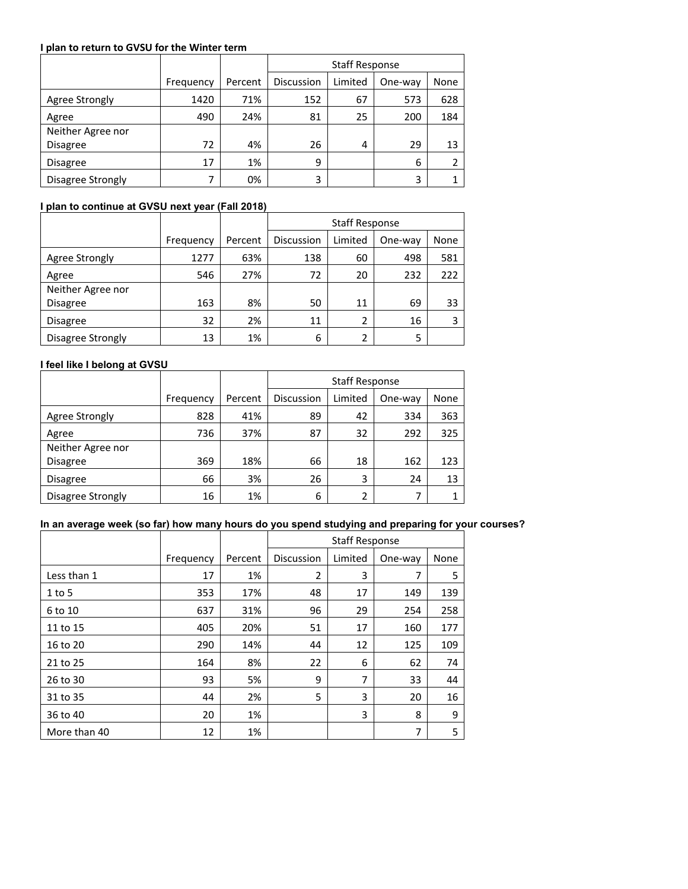#### **I plan to return to GVSU for the Winter term**

|                   |           |         | <b>Staff Response</b> |         |         |      |
|-------------------|-----------|---------|-----------------------|---------|---------|------|
|                   | Frequency | Percent | Discussion            | Limited | One-way | None |
| Agree Strongly    | 1420      | 71%     | 152                   | 67      | 573     | 628  |
| Agree             | 490       | 24%     | 81                    | 25      | 200     | 184  |
| Neither Agree nor |           |         |                       |         |         |      |
| <b>Disagree</b>   | 72        | 4%      | 26                    | 4       | 29      | 13   |
| Disagree          | 17        | 1%      | 9                     |         | 6       |      |
| Disagree Strongly | 7         | 0%      | 3                     |         | 3       |      |

# **I plan to continue at GVSU next year (Fall 2018)**

|                   |           |         | <b>Staff Response</b> |         |         |      |
|-------------------|-----------|---------|-----------------------|---------|---------|------|
|                   | Frequency | Percent | <b>Discussion</b>     | Limited | One-way | None |
| Agree Strongly    | 1277      | 63%     | 138                   | 60      | 498     | 581  |
| Agree             | 546       | 27%     | 72                    | 20      | 232     | 222  |
| Neither Agree nor |           |         |                       |         |         |      |
| <b>Disagree</b>   | 163       | 8%      | 50                    | 11      | 69      | 33   |
| Disagree          | 32        | 2%      | 11                    | 2       | 16      |      |
| Disagree Strongly | 13        | 1%      | 6                     |         | 5       |      |

# **I feel like I belong at GVSU**

|                   |           |         | <b>Staff Response</b> |         |         |      |  |
|-------------------|-----------|---------|-----------------------|---------|---------|------|--|
|                   | Frequency | Percent | Discussion            | Limited | One-way | None |  |
| Agree Strongly    | 828       | 41%     | 89                    | 42      | 334     | 363  |  |
| Agree             | 736       | 37%     | 87                    | 32      | 292     | 325  |  |
| Neither Agree nor |           |         |                       |         |         |      |  |
| Disagree          | 369       | 18%     | 66                    | 18      | 162     | 123  |  |
| <b>Disagree</b>   | 66        | 3%      | 26                    | 3       | 24      | 13   |  |
| Disagree Strongly | 16        | 1%      | 6                     | ำ       |         |      |  |

# **In an average week (so far) how many hours do you spend studying and preparing for your courses?**

|              |           |         | <b>Staff Response</b> |         |         |      |  |
|--------------|-----------|---------|-----------------------|---------|---------|------|--|
|              | Frequency | Percent | Discussion            | Limited | One-way | None |  |
| Less than 1  | 17        | 1%      | $\overline{2}$        | 3       | 7       | 5    |  |
| $1$ to 5     | 353       | 17%     | 48                    | 17      | 149     | 139  |  |
| 6 to 10      | 637       | 31%     | 96                    | 29      | 254     | 258  |  |
| 11 to 15     | 405       | 20%     | 51                    | 17      | 160     | 177  |  |
| 16 to 20     | 290       | 14%     | 44                    | 12      | 125     | 109  |  |
| 21 to 25     | 164       | 8%      | 22                    | 6       | 62      | 74   |  |
| 26 to 30     | 93        | 5%      | 9                     | 7       | 33      | 44   |  |
| 31 to 35     | 44        | 2%      | 5                     | 3       | 20      | 16   |  |
| 36 to 40     | 20        | 1%      |                       | 3       | 8       | 9    |  |
| More than 40 | 12        | 1%      |                       |         | 7       | 5    |  |